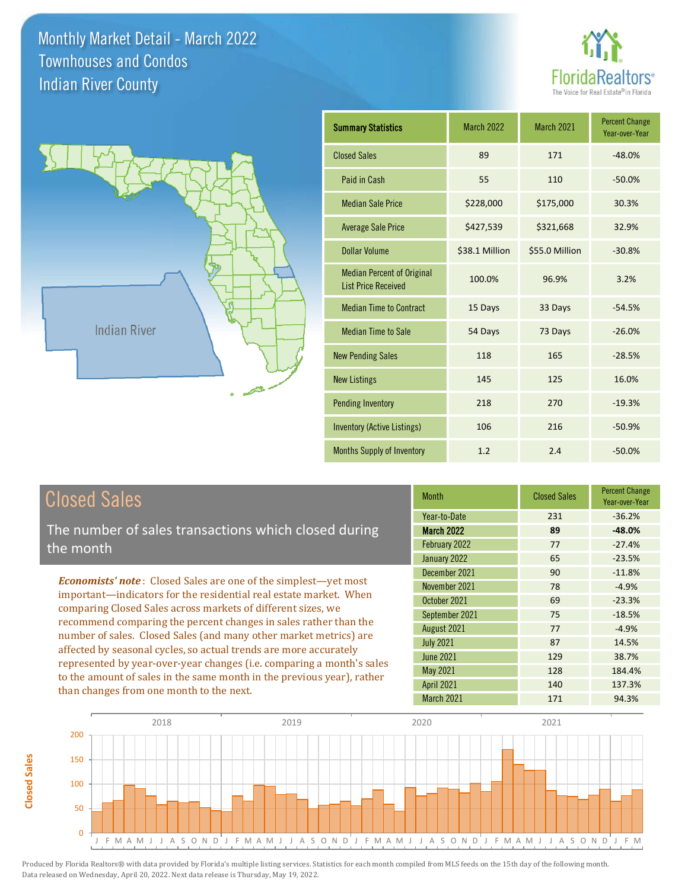



| <b>Summary Statistics</b>                                       | <b>March 2022</b> | March 2021     | <b>Percent Change</b><br>Year-over-Year |
|-----------------------------------------------------------------|-------------------|----------------|-----------------------------------------|
| <b>Closed Sales</b>                                             | 89                | 171            | $-48.0%$                                |
| Paid in Cash                                                    | 55                | 110            | $-50.0%$                                |
| <b>Median Sale Price</b>                                        | \$228,000         | \$175,000      | 30.3%                                   |
| <b>Average Sale Price</b>                                       | \$427,539         | \$321,668      | 32.9%                                   |
| <b>Dollar Volume</b>                                            | \$38.1 Million    | \$55.0 Million | $-30.8%$                                |
| <b>Median Percent of Original</b><br><b>List Price Received</b> | 100.0%            | 96.9%          | 3.2%                                    |
| <b>Median Time to Contract</b>                                  | 15 Days           | 33 Days        | $-54.5%$                                |
| <b>Median Time to Sale</b>                                      | 54 Days           | 73 Days        | $-26.0%$                                |
| <b>New Pending Sales</b>                                        | 118               | 165            | $-28.5%$                                |
| <b>New Listings</b>                                             | 145               | 125            | 16.0%                                   |
| <b>Pending Inventory</b>                                        | 218               | 270            | $-19.3%$                                |
| <b>Inventory (Active Listings)</b>                              | 106               | 216            | $-50.9%$                                |
| <b>Months Supply of Inventory</b>                               | 1.2               | 2.4            | $-50.0%$                                |

#### Closed Sales

**Closed Sales**

**Closed Sales** 

The number of sales transactions which closed during the month

*Economists' note* : Closed Sales are one of the simplest—yet most important—indicators for the residential real estate market. When comparing Closed Sales across markets of different sizes, we recommend comparing the percent changes in sales rather than the number of sales. Closed Sales (and many other market metrics) are affected by seasonal cycles, so actual trends are more accurately represented by year-over-year changes (i.e. comparing a month's sales to the amount of sales in the same month in the previous year), rather than changes from one month to the next.

| <b>Closed Sales</b> | <b>Percent Change</b><br>Year-over-Year |
|---------------------|-----------------------------------------|
| 231                 | $-36.2%$                                |
| 89                  | $-48.0%$                                |
| 77                  | $-27.4%$                                |
| 65                  | $-23.5%$                                |
| 90                  | $-11.8%$                                |
| 78                  | $-4.9%$                                 |
| 69                  | $-23.3%$                                |
| 75                  | $-18.5%$                                |
| 77                  | $-4.9%$                                 |
| 87                  | 14.5%                                   |
| 129                 | 38.7%                                   |
| 128                 | 184.4%                                  |
| 140                 | 137.3%                                  |
| 171                 | 94.3%                                   |
|                     |                                         |

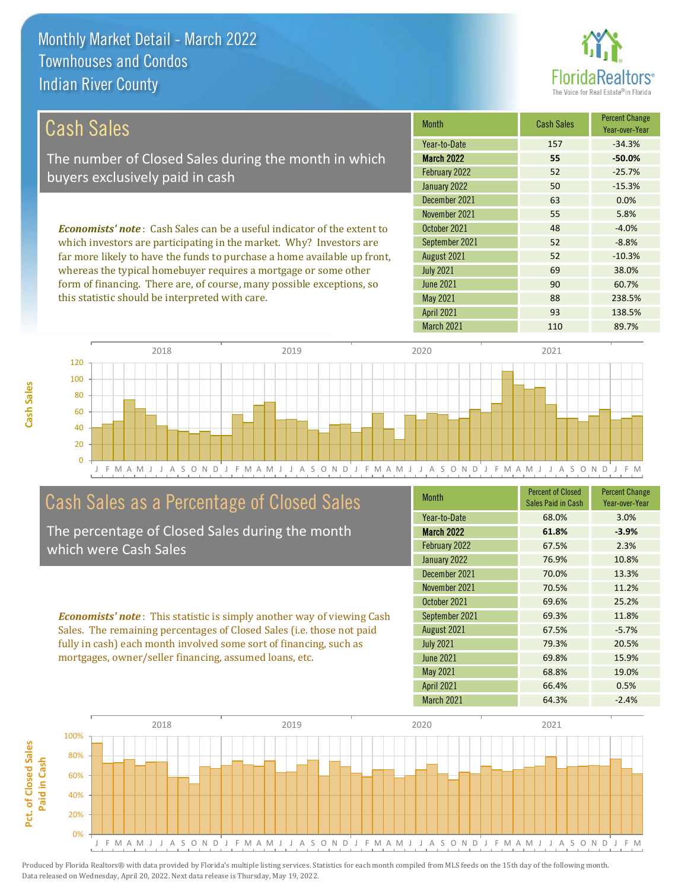

| Cash Sales                                                                     | <b>Month</b>      | <b>Cash Sales</b> | <b>Percent Change</b><br>Year-over-Year |
|--------------------------------------------------------------------------------|-------------------|-------------------|-----------------------------------------|
|                                                                                | Year-to-Date      | 157               | $-34.3%$                                |
| The number of Closed Sales during the month in which                           | <b>March 2022</b> | 55                | $-50.0%$                                |
| buyers exclusively paid in cash                                                | February 2022     | 52                | $-25.7%$                                |
|                                                                                | January 2022      | 50                | $-15.3%$                                |
|                                                                                | December 2021     | 63                | 0.0%                                    |
|                                                                                | November 2021     | 55                | 5.8%                                    |
| <b>Economists' note:</b> Cash Sales can be a useful indicator of the extent to | October 2021      | 48                | $-4.0%$                                 |
| which investors are participating in the market. Why? Investors are            | September 2021    | 52                | $-8.8%$                                 |
| far more likely to have the funds to purchase a home available up front,       | August 2021       | 52                | $-10.3%$                                |
| whereas the typical homebuyer requires a mortgage or some other                | <b>July 2021</b>  | 69                | 38.0%                                   |
| form of financing. There are, of course, many possible exceptions, so          | June 2021         | 90                | 60.7%                                   |
| this statistic should be interpreted with care.                                | <b>May 2021</b>   | 88                | 238.5%                                  |



#### Cash Sales as a Percentage of Closed Sales

The percentage of Closed Sales during the month which were Cash Sales

*Economists' note* : This statistic is simply another way of viewing Cash Sales. The remaining percentages of Closed Sales (i.e. those not paid fully in cash) each month involved some sort of financing, such as mortgages, owner/seller financing, assumed loans, etc.

| <b>Month</b>      | <b>Percent of Closed</b><br>Sales Paid in Cash | <b>Percent Change</b><br>Year-over-Year |
|-------------------|------------------------------------------------|-----------------------------------------|
| Year-to-Date      | 68.0%                                          | 3.0%                                    |
| <b>March 2022</b> | 61.8%                                          | $-3.9%$                                 |
| February 2022     | 67.5%                                          | 2.3%                                    |
| January 2022      | 76.9%                                          | 10.8%                                   |
| December 2021     | 70.0%                                          | 13.3%                                   |
| November 2021     | 70.5%                                          | 11.2%                                   |
| October 2021      | 69.6%                                          | 25.2%                                   |
| September 2021    | 69.3%                                          | 11.8%                                   |
| August 2021       | 67.5%                                          | $-5.7%$                                 |
| <b>July 2021</b>  | 79.3%                                          | 20.5%                                   |
| <b>June 2021</b>  | 69.8%                                          | 15.9%                                   |
| May 2021          | 68.8%                                          | 19.0%                                   |
| <b>April 2021</b> | 66.4%                                          | 0.5%                                    |
| <b>March 2021</b> | 64.3%                                          | $-2.4%$                                 |

April 2021 93 138.5%

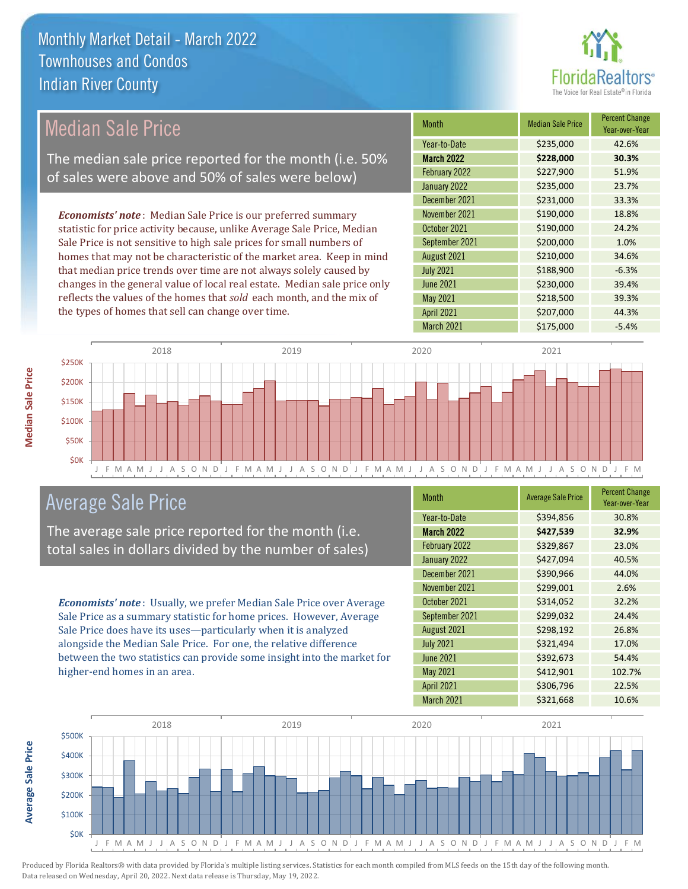

| Median Sale Price                                                         | <b>Month</b>      | <b>Median Sale Price</b> | <b>Percent Change</b><br>Year-over-Year |
|---------------------------------------------------------------------------|-------------------|--------------------------|-----------------------------------------|
|                                                                           | Year-to-Date      | \$235,000                | 42.6%                                   |
| The median sale price reported for the month (i.e. 50%                    | <b>March 2022</b> | \$228,000                | 30.3%                                   |
| of sales were above and 50% of sales were below)                          | February 2022     | \$227,900                | 51.9%                                   |
|                                                                           | January 2022      | \$235,000                | 23.7%                                   |
|                                                                           | December 2021     | \$231,000                | 33.3%                                   |
| <b>Economists' note:</b> Median Sale Price is our preferred summary       | November 2021     | \$190,000                | 18.8%                                   |
| statistic for price activity because, unlike Average Sale Price, Median   | October 2021      | \$190,000                | 24.2%                                   |
| Sale Price is not sensitive to high sale prices for small numbers of      | September 2021    | \$200,000                | 1.0%                                    |
| homes that may not be characteristic of the market area. Keep in mind     | August 2021       | \$210,000                | 34.6%                                   |
| that median price trends over time are not always solely caused by        | <b>July 2021</b>  | \$188,900                | $-6.3%$                                 |
| changes in the general value of local real estate. Median sale price only | <b>June 2021</b>  | \$230,000                | 39.4%                                   |
| reflects the values of the homes that sold each month, and the mix of     | May 2021          | \$218,500                | 39.3%                                   |
| the types of homes that sell can change over time.                        | <b>April 2021</b> | \$207,000                | 44.3%                                   |



#### Average Sale Price

The average sale price reported for the month (i.e. total sales in dollars divided by the number of sales)

*Economists' note* : Usually, we prefer Median Sale Price over Average Sale Price as a summary statistic for home prices. However, Average Sale Price does have its uses—particularly when it is analyzed alongside the Median Sale Price. For one, the relative difference between the two statistics can provide some insight into the market for higher-end homes in an area.

| <b>Month</b>      | <b>Average Sale Price</b> | <b>Percent Change</b><br>Year-over-Year |
|-------------------|---------------------------|-----------------------------------------|
| Year-to-Date      | \$394,856                 | 30.8%                                   |
| <b>March 2022</b> | \$427,539                 | 32.9%                                   |
| February 2022     | \$329,867                 | 23.0%                                   |
| January 2022      | \$427,094                 | 40.5%                                   |
| December 2021     | \$390,966                 | 44.0%                                   |
| November 2021     | \$299,001                 | 2.6%                                    |
| October 2021      | \$314,052                 | 32.2%                                   |
| September 2021    | \$299,032                 | 24.4%                                   |
| August 2021       | \$298,192                 | 26.8%                                   |
| <b>July 2021</b>  | \$321,494                 | 17.0%                                   |
| June 2021         | \$392,673                 | 54.4%                                   |
| May 2021          | \$412,901                 | 102.7%                                  |
| <b>April 2021</b> | \$306,796                 | 22.5%                                   |
| March 2021        | \$321,668                 | 10.6%                                   |

March 2021 \$175,000 -5.4%



Produced by Florida Realtors® with data provided by Florida's multiple listing services. Statistics for each month compiled from MLS feeds on the 15th day of the following month. Data released on Wednesday, April 20, 2022. Next data release is Thursday, May 19, 2022.

**Average Sale Price**

Average Sale Price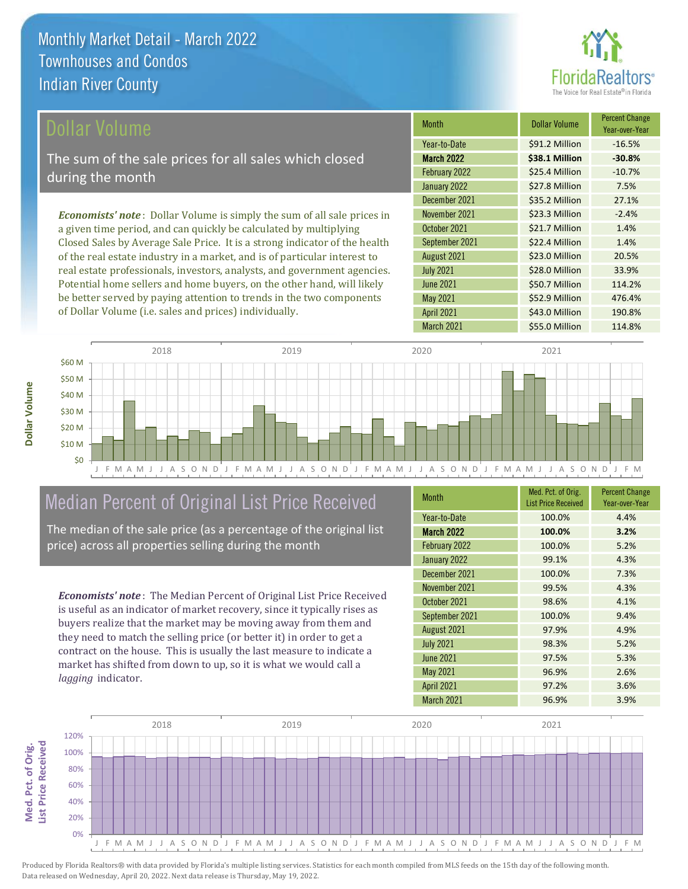

\$52.9 Million 476.4%

April 2021 **\$43.0 Million** 190.8%

| <b>Dollar Volume</b>                                                            | <b>Month</b>      | <b>Dollar Volume</b> | <b>Percent Change</b><br>Year-over-Year |
|---------------------------------------------------------------------------------|-------------------|----------------------|-----------------------------------------|
|                                                                                 | Year-to-Date      | \$91.2 Million       | $-16.5%$                                |
| The sum of the sale prices for all sales which closed                           | <b>March 2022</b> | \$38.1 Million       | $-30.8%$                                |
| during the month                                                                | February 2022     | \$25.4 Million       | $-10.7%$                                |
|                                                                                 | January 2022      | \$27.8 Million       | 7.5%                                    |
|                                                                                 | December 2021     | \$35.2 Million       | 27.1%                                   |
| <b>Economists' note</b> : Dollar Volume is simply the sum of all sale prices in | November 2021     | \$23.3 Million       | $-2.4%$                                 |
| a given time period, and can quickly be calculated by multiplying               | October 2021      | \$21.7 Million       | 1.4%                                    |
| Closed Sales by Average Sale Price. It is a strong indicator of the health      | September 2021    | \$22.4 Million       | 1.4%                                    |
| of the real estate industry in a market, and is of particular interest to       | August 2021       | \$23.0 Million       | 20.5%                                   |
| real estate professionals, investors, analysts, and government agencies.        | <b>July 2021</b>  | \$28.0 Million       | 33.9%                                   |
| Potential home sellers and home buyers, on the other hand, will likely          | <b>June 2021</b>  | \$50.7 Million       | 114.2%                                  |

May 2021



#### Median Percent of Original List Price Received

be better served by paying attention to trends in the two components

of Dollar Volume (i.e. sales and prices) individually.

The median of the sale price (as a percentage of the original list price) across all properties selling during the month

*Economists' note* : The Median Percent of Original List Price Received is useful as an indicator of market recovery, since it typically rises as buyers realize that the market may be moving away from them and they need to match the selling price (or better it) in order to get a contract on the house. This is usually the last measure to indicate a market has shifted from down to up, so it is what we would call a *lagging* indicator.

| <b>Month</b>      | Med. Pct. of Orig.<br><b>List Price Received</b> | <b>Percent Change</b><br>Year-over-Year |
|-------------------|--------------------------------------------------|-----------------------------------------|
| Year-to-Date      | 100.0%                                           | 4.4%                                    |
| <b>March 2022</b> | 100.0%                                           | 3.2%                                    |
| February 2022     | 100.0%                                           | 5.2%                                    |
| January 2022      | 99.1%                                            | 4.3%                                    |
| December 2021     | 100.0%                                           | 7.3%                                    |
| November 2021     | 99.5%                                            | 4.3%                                    |
| October 2021      | 98.6%                                            | 4.1%                                    |
| September 2021    | 100.0%                                           | 9.4%                                    |
| August 2021       | 97.9%                                            | 4.9%                                    |
| <b>July 2021</b>  | 98.3%                                            | 5.2%                                    |
| <b>June 2021</b>  | 97.5%                                            | 5.3%                                    |
| May 2021          | 96.9%                                            | 2.6%                                    |
| <b>April 2021</b> | 97.2%                                            | 3.6%                                    |
| <b>March 2021</b> | 96.9%                                            | 3.9%                                    |



**Dollar Volume**

Dollar Volume

**List Price Received Med. Pct. of Orig.**  Med. Pct. of Orig. **List Price Received**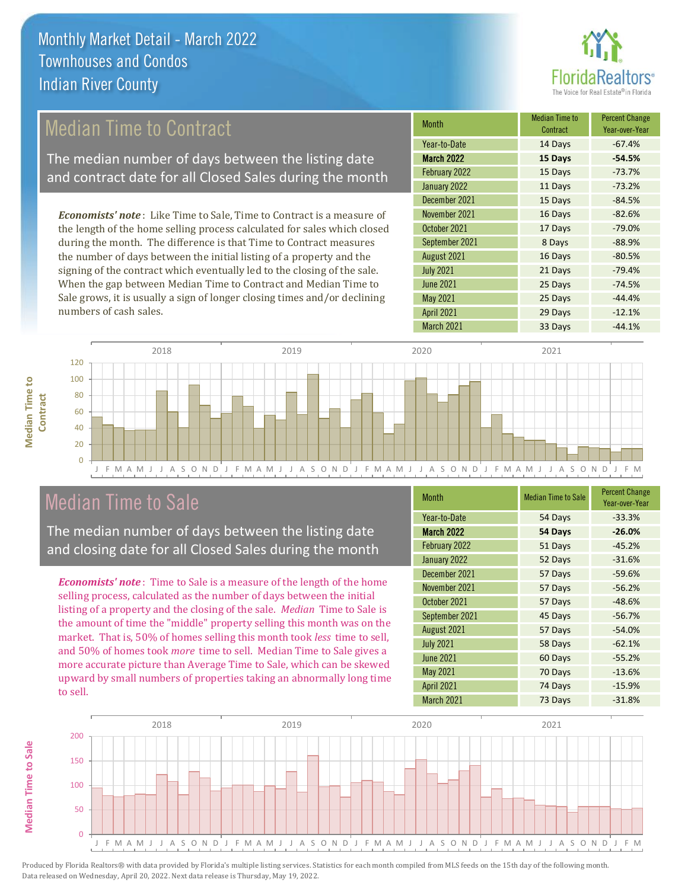

#### Median Time to Contract

The median number of days between the listing date and contract date for all Closed Sales during the month

*Economists' note* : Like Time to Sale, Time to Contract is a measure of the length of the home selling process calculated for sales which closed during the month. The difference is that Time to Contract measures the number of days between the initial listing of a property and the signing of the contract which eventually led to the closing of the sale. When the gap between Median Time to Contract and Median Time to Sale grows, it is usually a sign of longer closing times and/or declining numbers of cash sales.

| <b>Month</b>      | Median Time to<br>Contract | <b>Percent Change</b><br>Year-over-Year |
|-------------------|----------------------------|-----------------------------------------|
| Year-to-Date      | 14 Days                    | $-67.4%$                                |
| March 2022        | 15 Days                    | $-54.5%$                                |
| February 2022     | 15 Days                    | $-73.7%$                                |
| January 2022      | 11 Days                    | $-73.2%$                                |
| December 2021     | 15 Days                    | $-84.5%$                                |
| November 2021     | 16 Days                    | $-82.6%$                                |
| October 2021      | 17 Days                    | $-79.0%$                                |
| September 2021    | 8 Days                     | $-88.9%$                                |
| August 2021       | 16 Days                    | $-80.5%$                                |
| <b>July 2021</b>  | 21 Days                    | $-79.4%$                                |
| <b>June 2021</b>  | 25 Days                    | $-74.5%$                                |
| <b>May 2021</b>   | 25 Days                    | $-44.4%$                                |
| <b>April 2021</b> | 29 Days                    | $-12.1%$                                |
| March 2021        | 33 Days                    | $-44.1%$                                |



#### Median Time to Sale

**Median Time to Sale**

**Median Time to Sale** 

The median number of days between the listing date and closing date for all Closed Sales during the month

*Economists' note* : Time to Sale is a measure of the length of the home selling process, calculated as the number of days between the initial listing of a property and the closing of the sale. *Median* Time to Sale is the amount of time the "middle" property selling this month was on the market. That is, 50% of homes selling this month took *less* time to sell, and 50% of homes took *more* time to sell. Median Time to Sale gives a more accurate picture than Average Time to Sale, which can be skewed upward by small numbers of properties taking an abnormally long time to sell.

| <b>Month</b>      | <b>Median Time to Sale</b> | <b>Percent Change</b><br>Year-over-Year |
|-------------------|----------------------------|-----------------------------------------|
| Year-to-Date      | 54 Days                    | $-33.3%$                                |
| <b>March 2022</b> | 54 Days                    | $-26.0%$                                |
| February 2022     | 51 Days                    | $-45.2%$                                |
| January 2022      | 52 Days                    | $-31.6%$                                |
| December 2021     | 57 Days                    | $-59.6%$                                |
| November 2021     | 57 Days                    | $-56.2%$                                |
| October 2021      | 57 Days                    | $-48.6%$                                |
| September 2021    | 45 Days                    | $-56.7%$                                |
| August 2021       | 57 Days                    | $-54.0%$                                |
| <b>July 2021</b>  | 58 Days                    | $-62.1%$                                |
| <b>June 2021</b>  | 60 Days                    | $-55.2%$                                |
| <b>May 2021</b>   | 70 Days                    | $-13.6%$                                |
| <b>April 2021</b> | 74 Days                    | $-15.9%$                                |
| March 2021        | 73 Days                    | $-31.8%$                                |

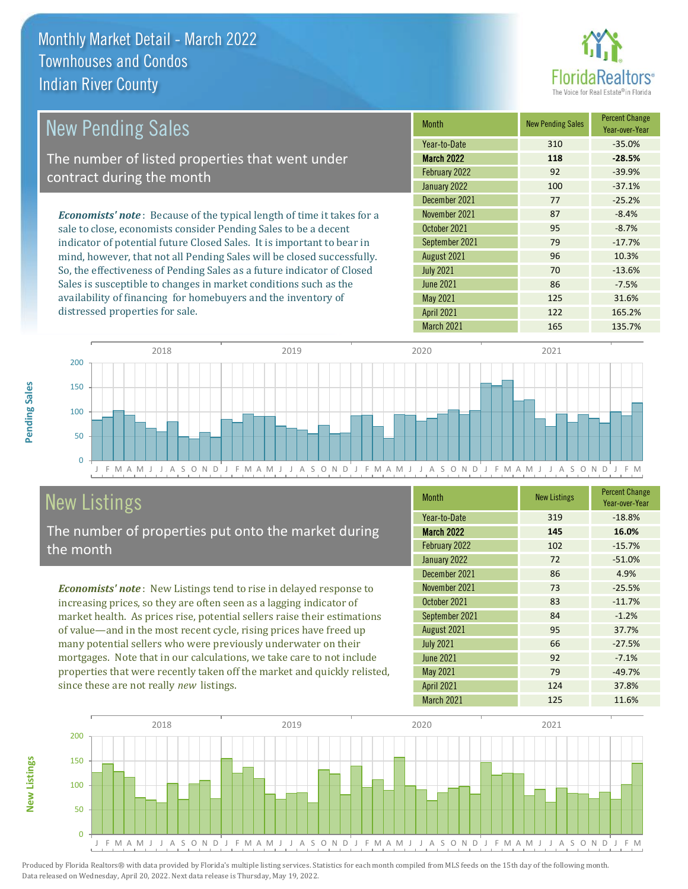

| <b>New Pending Sales</b>                                                      | <b>Month</b>      | <b>New Pending Sales</b> | <b>Percent Change</b><br>Year-over-Year |
|-------------------------------------------------------------------------------|-------------------|--------------------------|-----------------------------------------|
|                                                                               | Year-to-Date      | 310                      | $-35.0%$                                |
| The number of listed properties that went under                               | <b>March 2022</b> | 118                      | $-28.5%$                                |
| contract during the month                                                     | February 2022     | 92                       | $-39.9%$                                |
|                                                                               | January 2022      | 100                      | $-37.1%$                                |
|                                                                               | December 2021     | 77                       | $-25.2%$                                |
| <b>Economists' note:</b> Because of the typical length of time it takes for a | November 2021     | 87                       | $-8.4%$                                 |
| sale to close, economists consider Pending Sales to be a decent               | October 2021      | 95                       | $-8.7%$                                 |
| indicator of potential future Closed Sales. It is important to bear in        | September 2021    | 79                       | $-17.7%$                                |
| mind, however, that not all Pending Sales will be closed successfully.        | August 2021       | 96                       | 10.3%                                   |
| So, the effectiveness of Pending Sales as a future indicator of Closed        | <b>July 2021</b>  | 70                       | $-13.6%$                                |
| Sales is susceptible to changes in market conditions such as the              | <b>June 2021</b>  | 86                       | $-7.5%$                                 |
| availability of financing for homebuyers and the inventory of                 | May 2021          | 125                      | 31.6%                                   |



#### New Listings

**New Listings**

**Pending Sales**

Pending Sales

distressed properties for sale.

The number of properties put onto the market during the month

*Economists' note* : New Listings tend to rise in delayed response to increasing prices, so they are often seen as a lagging indicator of market health. As prices rise, potential sellers raise their estimations of value—and in the most recent cycle, rising prices have freed up many potential sellers who were previously underwater on their mortgages. Note that in our calculations, we take care to not include properties that were recently taken off the market and quickly relisted, since these are not really *new* listings.

| <b>Month</b>      | <b>New Listings</b> | <b>Percent Change</b><br>Year-over-Year |
|-------------------|---------------------|-----------------------------------------|
| Year-to-Date      | 319                 | $-18.8%$                                |
| <b>March 2022</b> | 145                 | 16.0%                                   |
| February 2022     | 102                 | $-15.7%$                                |
| January 2022      | 72                  | $-51.0%$                                |
| December 2021     | 86                  | 4.9%                                    |
| November 2021     | 73                  | $-25.5%$                                |
| October 2021      | 83                  | $-11.7%$                                |
| September 2021    | 84                  | $-1.2%$                                 |
| August 2021       | 95                  | 37.7%                                   |
| <b>July 2021</b>  | 66                  | $-27.5%$                                |
| <b>June 2021</b>  | 92                  | $-7.1%$                                 |
| <b>May 2021</b>   | 79                  | $-49.7%$                                |
| <b>April 2021</b> | 124                 | 37.8%                                   |
| March 2021        | 125                 | 11.6%                                   |

April 2021 122 165.2% March 2021 165 135.7%

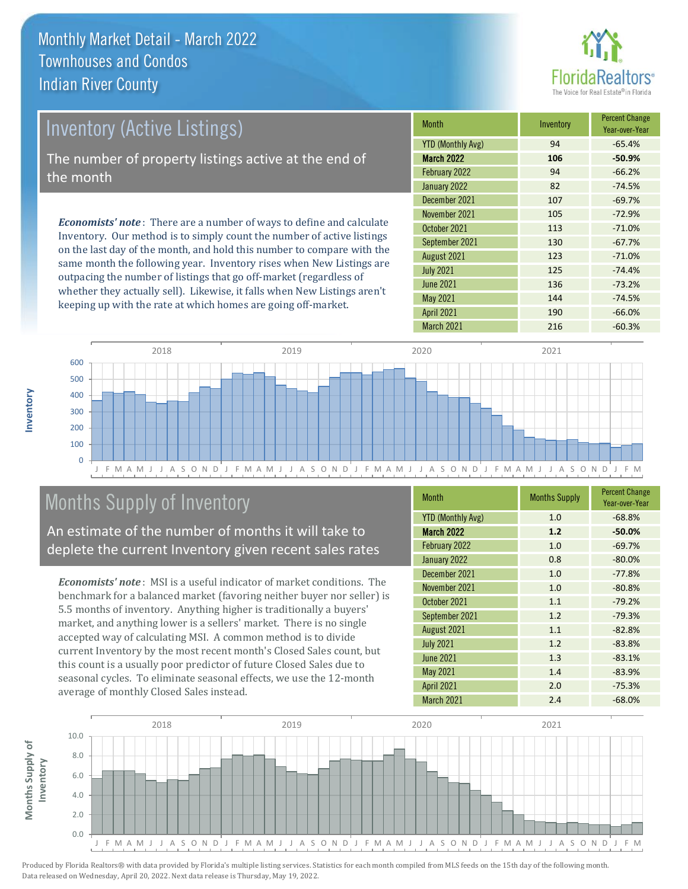

#### *Economists' note* : There are a number of ways to define and calculate -69.7% November 2021 **105** -72.9% October 2021 **113** -71.0% December 2021 107 Month **Inventory** Percent Change<br> **Inventory** Percent Change March 2022 **106 -50.9%**  $YTD$  (Monthly Avg)  $94$  -65.4% February 2022 **94** - 66.2% January 2022 82 -74.5% Inventory (Active Listings) The number of property listings active at the end of the month

Inventory. Our method is to simply count the number of active listings on the last day of the month, and hold this number to compare with the same month the following year. Inventory rises when New Listings are outpacing the number of listings that go off-market (regardless of whether they actually sell). Likewise, it falls when New Listings aren't keeping up with the rate at which homes are going off-market.

| <b>MONTH</b>             | <b>INVENTORY</b> | Year-over-Year |
|--------------------------|------------------|----------------|
| <b>YTD (Monthly Avg)</b> | 94               | $-65.4%$       |
| <b>March 2022</b>        | 106              | $-50.9%$       |
| February 2022            | 94               | $-66.2%$       |
| January 2022             | 82               | $-74.5%$       |
| December 2021            | 107              | $-69.7%$       |
| November 2021            | 105              | $-72.9%$       |
| October 2021             | 113              | $-71.0%$       |
| September 2021           | 130              | $-67.7%$       |
| August 2021              | 123              | $-71.0%$       |
| <b>July 2021</b>         | 125              | $-74.4%$       |
| <b>June 2021</b>         | 136              | $-73.2%$       |
| <b>May 2021</b>          | 144              | $-74.5%$       |
| <b>April 2021</b>        | 190              | $-66.0%$       |
| March 2021               | 216              | $-60.3%$       |



#### Months Supply of Inventory

An estimate of the number of months it will take to deplete the current Inventory given recent sales rates

*Economists' note* : MSI is a useful indicator of market conditions. The benchmark for a balanced market (favoring neither buyer nor seller) is 5.5 months of inventory. Anything higher is traditionally a buyers' market, and anything lower is a sellers' market. There is no single accepted way of calculating MSI. A common method is to divide current Inventory by the most recent month's Closed Sales count, but this count is a usually poor predictor of future Closed Sales due to seasonal cycles. To eliminate seasonal effects, we use the 12-month average of monthly Closed Sales instead.

| <b>Month</b>             | <b>Months Supply</b> | <b>Percent Change</b><br>Year-over-Year |
|--------------------------|----------------------|-----------------------------------------|
| <b>YTD (Monthly Avg)</b> | 1.0                  | $-68.8%$                                |
| March 2022               | 1.2                  | $-50.0%$                                |
| February 2022            | 1.0                  | $-69.7%$                                |
| January 2022             | 0.8                  | $-80.0%$                                |
| December 2021            | 1.0                  | $-77.8%$                                |
| November 2021            | 1.0                  | $-80.8%$                                |
| October 2021             | 1.1                  | $-79.2%$                                |
| September 2021           | 1.2                  | $-79.3%$                                |
| August 2021              | 1.1                  | $-82.8%$                                |
| <b>July 2021</b>         | 1.2                  | $-83.8%$                                |
| <b>June 2021</b>         | 1.3                  | $-83.1%$                                |
| <b>May 2021</b>          | 1.4                  | $-83.9%$                                |
| <b>April 2021</b>        | 2.0                  | $-75.3%$                                |
| March 2021               | 2.4                  | $-68.0%$                                |



Produced by Florida Realtors® with data provided by Florida's multiple listing services. Statistics for each month compiled from MLS feeds on the 15th day of the following month. Data released on Wednesday, April 20, 2022. Next data release is Thursday, May 19, 2022.

**Months Supply of** 

Months Supply of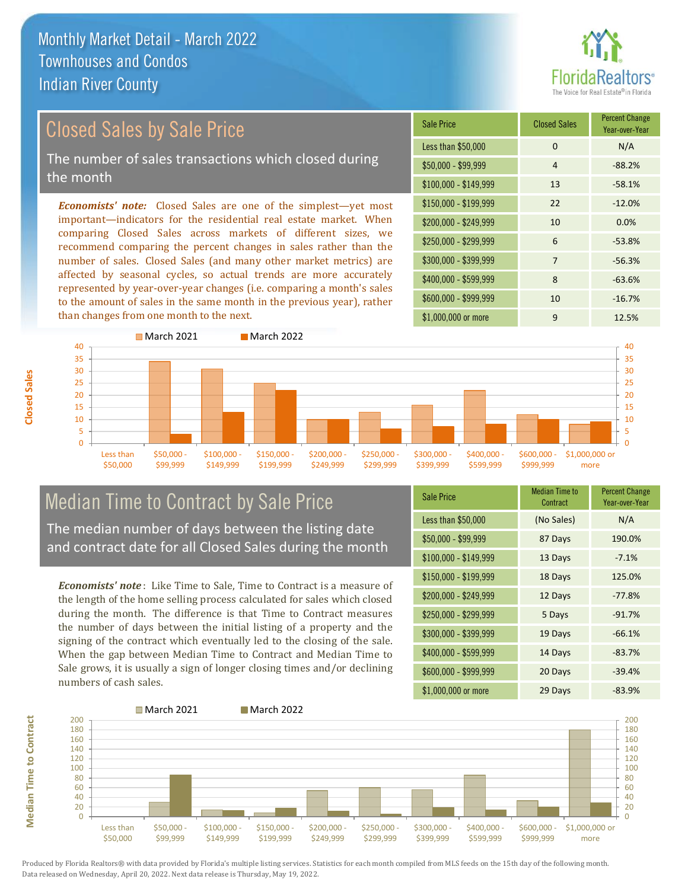#### Closed Sales by Sale Price

The number of sales transactions which closed during the month

*Economists' note:* Closed Sales are one of the simplest—yet most important—indicators for the residential real estate market. When comparing Closed Sales across markets of different sizes, we recommend comparing the percent changes in sales rather than the number of sales. Closed Sales (and many other market metrics) are affected by seasonal cycles, so actual trends are more accurately represented by year-over-year changes (i.e. comparing a month's sales to the amount of sales in the same month in the previous year), rather than changes from one month to the next.

| <b>Sale Price</b>     | <b>Closed Sales</b> | <b>Percent Change</b><br>Year-over-Year |
|-----------------------|---------------------|-----------------------------------------|
| Less than \$50,000    | $\Omega$            | N/A                                     |
| $$50,000 - $99,999$   | $\overline{4}$      | $-88.2%$                                |
| $$100,000 - $149,999$ | 13                  | $-58.1%$                                |
| $$150,000 - $199,999$ | 22                  | $-12.0%$                                |
| $$200,000 - $249,999$ | 10                  | 0.0%                                    |
| \$250,000 - \$299,999 | 6                   | $-53.8%$                                |
| \$300,000 - \$399,999 | $\overline{7}$      | $-56.3%$                                |
| \$400,000 - \$599,999 | 8                   | $-63.6%$                                |
| \$600,000 - \$999,999 | 10                  | $-16.7%$                                |
| \$1,000,000 or more   | 9                   | 12.5%                                   |

![](_page_7_Figure_6.jpeg)

## Median Time to Contract by Sale Price

The median number of days between the listing date and contract date for all Closed Sales during the month

*Economists' note* : Like Time to Sale, Time to Contract is a measure of the length of the home selling process calculated for sales which closed during the month. The difference is that Time to Contract measures the number of days between the initial listing of a property and the signing of the contract which eventually led to the closing of the sale. When the gap between Median Time to Contract and Median Time to Sale grows, it is usually a sign of longer closing times and/or declining numbers of cash sales.

| Sale Price            | <b>Median Time to</b><br>Contract | <b>Percent Change</b><br>Year-over-Year |
|-----------------------|-----------------------------------|-----------------------------------------|
| Less than \$50,000    | (No Sales)                        | N/A                                     |
| \$50,000 - \$99,999   | 87 Days                           | 190.0%                                  |
| $$100,000 - $149,999$ | 13 Days                           | $-7.1%$                                 |
| $$150,000 - $199,999$ | 18 Days                           | 125.0%                                  |
| \$200,000 - \$249,999 | 12 Days                           | $-77.8%$                                |
| \$250,000 - \$299,999 | 5 Days                            | $-91.7%$                                |
| \$300,000 - \$399,999 | 19 Days                           | $-66.1%$                                |
| \$400,000 - \$599,999 | 14 Days                           | $-83.7%$                                |
| \$600,000 - \$999,999 | 20 Days                           | $-39.4%$                                |
| \$1,000,000 or more   | 29 Days                           | $-83.9%$                                |

![](_page_7_Figure_11.jpeg)

Produced by Florida Realtors® with data provided by Florida's multiple listing services. Statistics for each month compiled from MLS feeds on the 15th day of the following month. Data released on Wednesday, April 20, 2022. Next data release is Thursday, May 19, 2022.

**Median Time to Contract**

**Median Time to Contract**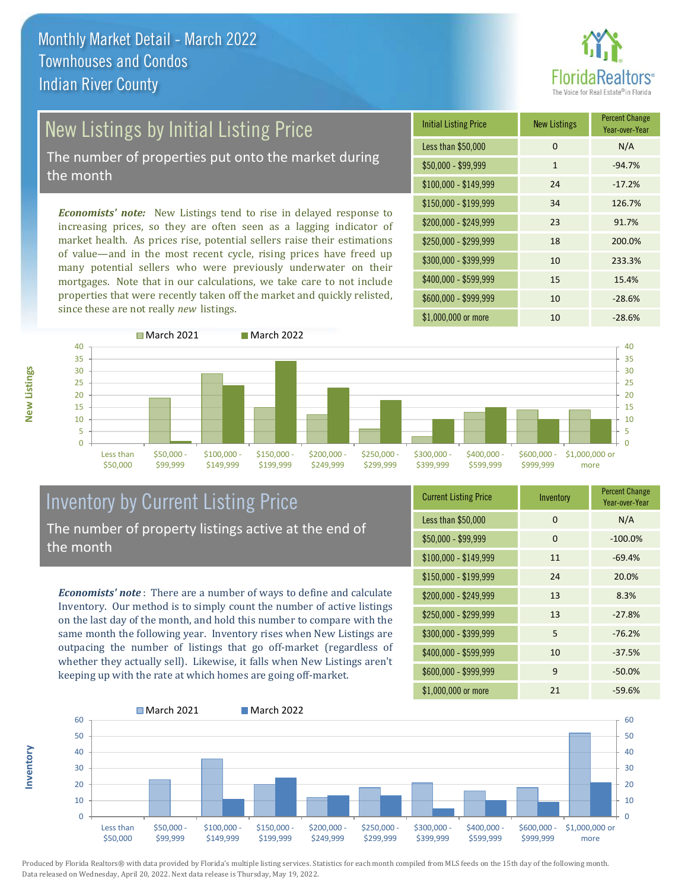# altors<sup>®</sup>

### New Listings by Initial Listing Price

The number of properties put onto the market during the month

*Economists' note:* New Listings tend to rise in delayed response to increasing prices, so they are often seen as a lagging indicator of market health. As prices rise, potential sellers raise their estimations of value—and in the most recent cycle, rising prices have freed up many potential sellers who were previously underwater on their mortgages. Note that in our calculations, we take care to not include properties that were recently taken off the market and quickly relisted, since these are not really *new* listings.

![](_page_8_Picture_5.jpeg)

![](_page_8_Figure_6.jpeg)

#### Inventory by Current Listing Price The number of property listings active at the end of the month

*Economists' note* : There are a number of ways to define and calculate Inventory. Our method is to simply count the number of active listings on the last day of the month, and hold this number to compare with the same month the following year. Inventory rises when New Listings are outpacing the number of listings that go off-market (regardless of whether they actually sell). Likewise, it falls when New Listings aren't keeping up with the rate at which homes are going off-market.

| <b>Current Listing Price</b> | Inventory | <b>Percent Change</b><br>Year-over-Year |
|------------------------------|-----------|-----------------------------------------|
| Less than \$50,000           | $\Omega$  | N/A                                     |
| $$50,000 - $99,999$          | $\Omega$  | $-100.0%$                               |
| $$100,000 - $149,999$        | 11        | $-69.4%$                                |
| $$150,000 - $199,999$        | 24        | 20.0%                                   |
| \$200,000 - \$249,999        | 13        | 8.3%                                    |
| \$250,000 - \$299,999        | 13        | $-27.8%$                                |
| \$300,000 - \$399,999        | 5         | $-76.2%$                                |
| \$400,000 - \$599,999        | 10        | $-37.5%$                                |
| \$600,000 - \$999,999        | 9         | $-50.0%$                                |
| \$1,000,000 or more          | 21        | $-59.6%$                                |

![](_page_8_Figure_10.jpeg)

Produced by Florida Realtors® with data provided by Florida's multiple listing services. Statistics for each month compiled from MLS feeds on the 15th day of the following month. Data released on Wednesday, April 20, 2022. Next data release is Thursday, May 19, 2022.

**Inventory**